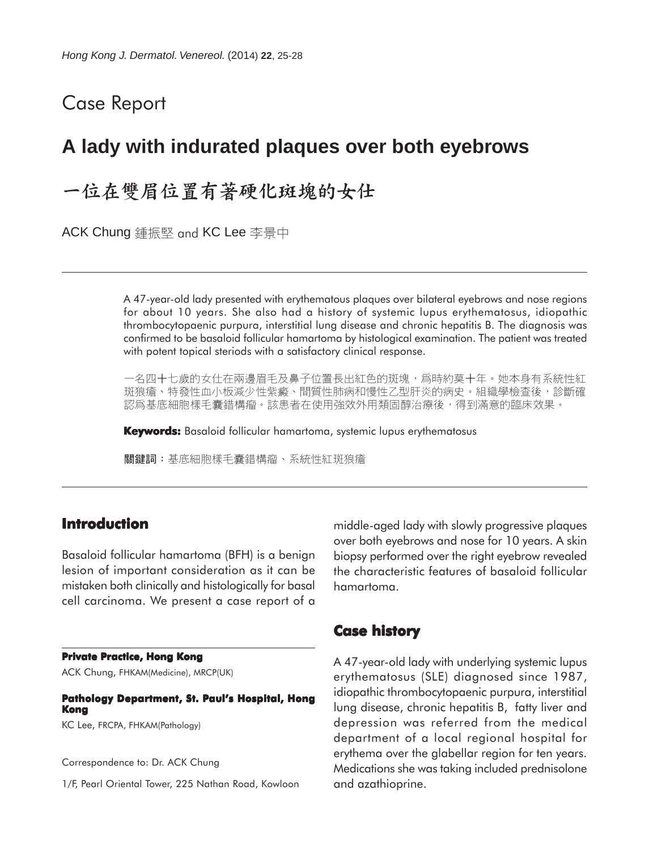# Case Report

# **A lady with indurated plaques over both eyebrows**

# 一位在雙眉位置有著硬化斑塊的女仕

ACK Chung 鍾振堅 and KC Lee 李景中

A 47-year-old lady presented with erythematous plaques over bilateral eyebrows and nose regions for about 10 years. She also had a history of systemic lupus erythematosus, idiopathic thrombocytopaenic purpura, interstitial lung disease and chronic hepatitis B. The diagnosis was confirmed to be basaloid follicular hamartoma by histological examination. The patient was treated with potent topical steriods with a satisfactory clinical response.

一名四十七歲的女仕在兩邊眉毛及鼻子位置長出紅色的斑塊,爲時約莫十年。她本身有系統性紅 斑狼瘡、特發性血小板減少性紫癜、間質性肺病和慢性乙型肝炎的病史。組織學檢查後,診斷確 認爲基底細胞樣手囊錯構瘤。該患者在使用強效外用類固醇治療後,得到滿意的臨床效果。

**Keywords:** Basaloid follicular hamartoma, systemic lupus erythematosus

關鍵詞:基底細胞樣毛囊錯構瘤、系統性紅斑狼瘡

## **Introduction**

Basaloid follicular hamartoma (BFH) is a benign lesion of important consideration as it can be mistaken both clinically and histologically for basal cell carcinoma. We present a case report of a

#### **Private Practice, Hong Kong**

ACK Chung, FHKAM(Medicine), MRCP(UK)

**Pathology Department, St. Paul's Hospital, Hong Kong**

KC Lee, FRCPA, FHKAM(Pathology)

Correspondence to: Dr. ACK Chung

1/F, Pearl Oriental Tower, 225 Nathan Road, Kowloon

middle-aged lady with slowly progressive plaques over both eyebrows and nose for 10 years. A skin biopsy performed over the right eyebrow revealed the characteristic features of basaloid follicular hamartoma.

## **Case history**

A 47-year-old lady with underlying systemic lupus erythematosus (SLE) diagnosed since 1987, idiopathic thrombocytopaenic purpura, interstitial lung disease, chronic hepatitis B, fatty liver and depression was referred from the medical department of a local regional hospital for erythema over the glabellar region for ten years. Medications she was taking included prednisolone and azathioprine.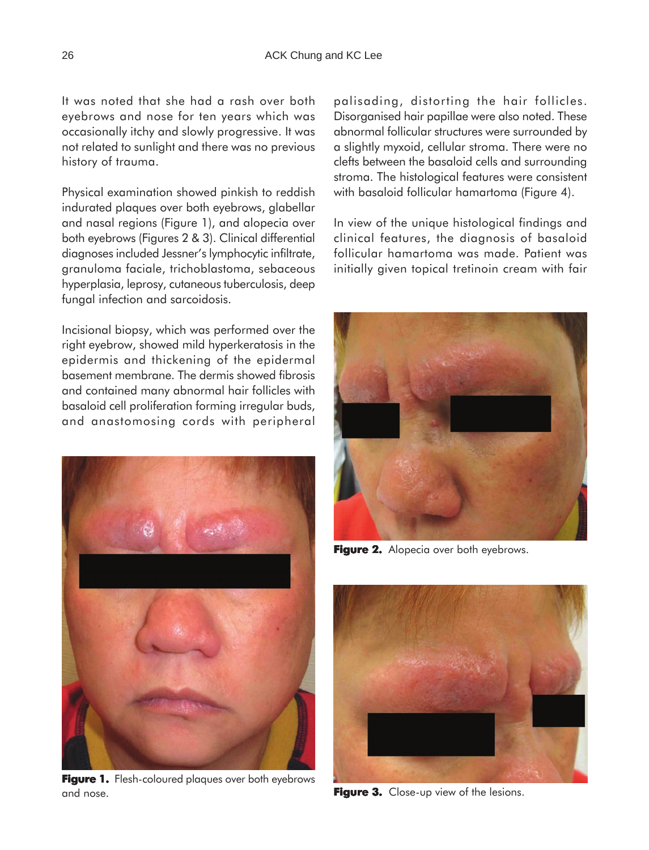It was noted that she had a rash over both eyebrows and nose for ten years which was occasionally itchy and slowly progressive. It was not related to sunlight and there was no previous history of trauma.

Physical examination showed pinkish to reddish indurated plaques over both eyebrows, glabellar and nasal regions (Figure 1), and alopecia over both eyebrows (Figures 2 & 3). Clinical differential diagnoses included Jessner's lymphocytic infiltrate, granuloma faciale, trichoblastoma, sebaceous hyperplasia, leprosy, cutaneous tuberculosis, deep fungal infection and sarcoidosis.

Incisional biopsy, which was performed over the right eyebrow, showed mild hyperkeratosis in the epidermis and thickening of the epidermal basement membrane. The dermis showed fibrosis and contained many abnormal hair follicles with basaloid cell proliferation forming irregular buds, and anastomosing cords with peripheral



Figure 1. Flesh-coloured plaques over both eyebrows and nose.

palisading, distorting the hair follicles. Disorganised hair papillae were also noted. These abnormal follicular structures were surrounded by a slightly myxoid, cellular stroma. There were no clefts between the basaloid cells and surrounding stroma. The histological features were consistent with basaloid follicular hamartoma (Figure 4).

In view of the unique histological findings and clinical features, the diagnosis of basaloid follicular hamartoma was made. Patient was initially given topical tretinoin cream with fair



**Figure 2.** Alopecia over both eyebrows.



**Figure 3. Figure 3.** Close-up view of the lesions.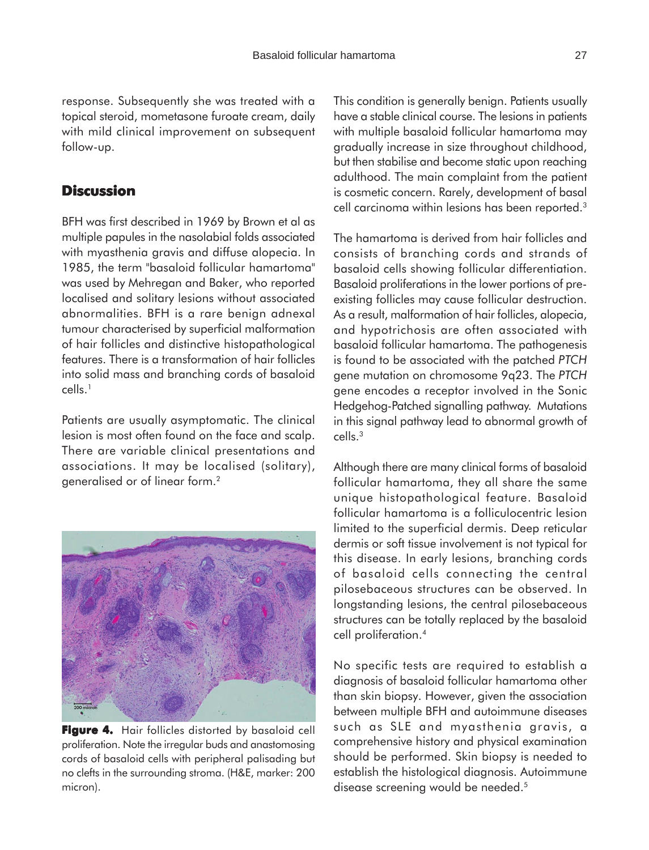response. Subsequently she was treated with a topical steroid, mometasone furoate cream, daily with mild clinical improvement on subsequent follow-up.

## **Discussion**

BFH was first described in 1969 by Brown et al as multiple papules in the nasolabial folds associated with myasthenia gravis and diffuse alopecia. In 1985, the term "basaloid follicular hamartoma" was used by Mehregan and Baker, who reported localised and solitary lesions without associated abnormalities. BFH is a rare benign adnexal tumour characterised by superficial malformation of hair follicles and distinctive histopathological features. There is a transformation of hair follicles into solid mass and branching cords of basaloid cells.1

Patients are usually asymptomatic. The clinical lesion is most often found on the face and scalp. There are variable clinical presentations and associations. It may be localised (solitary), generalised or of linear form.<sup>2</sup>



**Figure 4.** Hair follicles distorted by basaloid cell proliferation. Note the irregular buds and anastomosing cords of basaloid cells with peripheral palisading but no clefts in the surrounding stroma. (H&E, marker: 200 micron).

This condition is generally benign. Patients usually have a stable clinical course. The lesions in patients with multiple basaloid follicular hamartoma may gradually increase in size throughout childhood, but then stabilise and become static upon reaching adulthood. The main complaint from the patient is cosmetic concern. Rarely, development of basal cell carcinoma within lesions has been reported.3

The hamartoma is derived from hair follicles and consists of branching cords and strands of basaloid cells showing follicular differentiation. Basaloid proliferations in the lower portions of preexisting follicles may cause follicular destruction. As a result, malformation of hair follicles, alopecia, and hypotrichosis are often associated with basaloid follicular hamartoma. The pathogenesis is found to be associated with the patched *PTCH* gene mutation on chromosome 9q23. The *PTCH* gene encodes a receptor involved in the Sonic Hedgehog-Patched signalling pathway. Mutations in this signal pathway lead to abnormal growth of cells.3

Although there are many clinical forms of basaloid follicular hamartoma, they all share the same unique histopathological feature. Basaloid follicular hamartoma is a folliculocentric lesion limited to the superficial dermis. Deep reticular dermis or soft tissue involvement is not typical for this disease. In early lesions, branching cords of basaloid cells connecting the central pilosebaceous structures can be observed. In longstanding lesions, the central pilosebaceous structures can be totally replaced by the basaloid cell proliferation.4

No specific tests are required to establish a diagnosis of basaloid follicular hamartoma other than skin biopsy. However, given the association between multiple BFH and autoimmune diseases such as SLE and myasthenia gravis, a comprehensive history and physical examination should be performed. Skin biopsy is needed to establish the histological diagnosis. Autoimmune disease screening would be needed.<sup>5</sup>